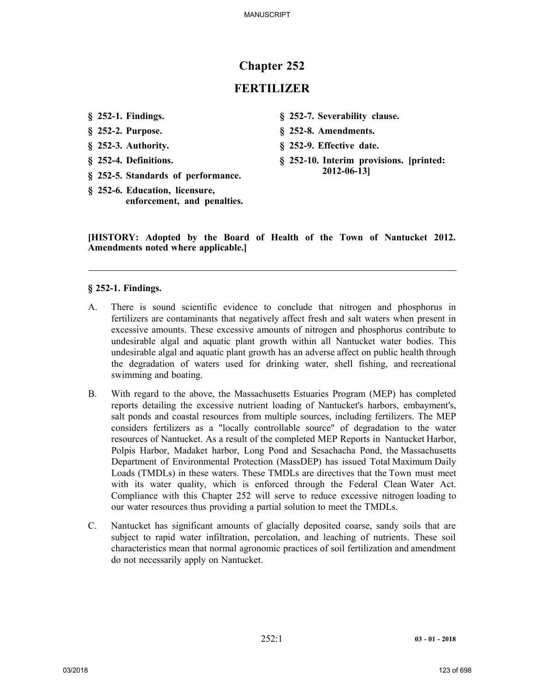# **Chapter 252**

# **FERTILIZER**

- **§ 252-1. Findings.**
- **§ 252-2. Purpose.**
- **§ 252-3. Authority.**
- **§ 252-4. Definitions.**
- **§ 252-5. Standards of performance.**
- **§ 252-6. Education, licensure, enforcement, and penalties.**
- **§ 252-7. Severability clause.**
- **§ 252-8. Amendments.**
- **§ 252-9. Effective date.**
- **§ 252-10. Interim provisions. [printed: 2012-06-13]**

**[HISTORY: Adopted by the Board of Health of the Town of Nantucket 2012. Amendments noted where applicable.]**

#### **§ 252-1. Findings.**

- A. There is sound scientific evidence to conclude that nitrogen and phosphorus in fertilizers are contaminants that negatively affect fresh and salt waters when present in excessive amounts. These excessive amounts of nitrogen and phosphorus contribute to undesirable algal and aquatic plant growth within all Nantucket water bodies. This undesirable algal and aquatic plant growth has an adverse affect on public health through the degradation of waters used for drinking water, shell fishing, and recreational swimming and boating.
- B. With regard to the above, the Massachusetts Estuaries Program (MEP) has completed reports detailing the excessive nutrient loading of Nantucket's harbors, embayment's, salt ponds and coastal resources from multiple sources, including fertilizers. The MEP considers fertilizers as a "locally controllable source" of degradation to the water resources of Nantucket. As a result of the completed MEP Reports in Nantucket Harbor, Polpis Harbor, Madaket harbor, Long Pond and Sesachacha Pond, the Massachusetts Department of Environmental Protection (MassDEP) has issued Total Maximum Daily Loads (TMDLs) in these waters. These TMDLs are directives that the Town must meet with its water quality, which is enforced through the Federal Clean Water Act. Compliance with this Chapter 252 will serve to reduce excessive nitrogen loading to our water resources thus providing a partial solution to meet the TMDLs.
- C. Nantucket has significant amounts of glacially deposited coarse, sandy soils that are subject to rapid water infiltration, percolation, and leaching of nutrients. These soil characteristics mean that normal agronomic practices of soil fertilization and amendment do not necessarily apply on Nantucket.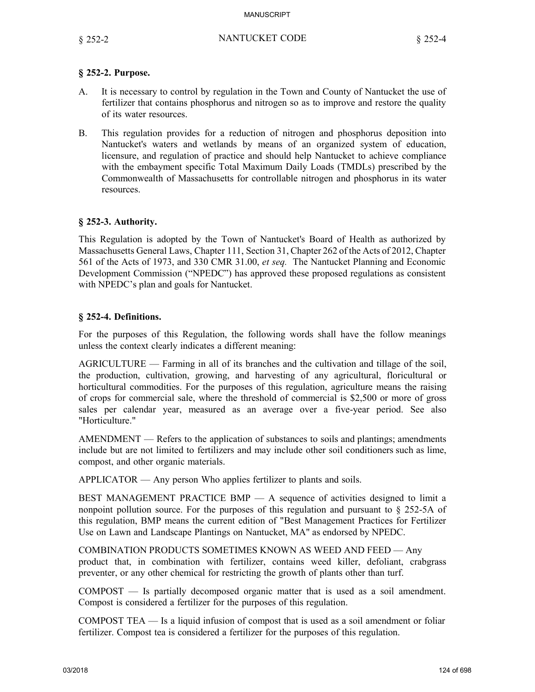## **§ 252-2. Purpose.**

- A. It is necessary to control by regulation in the Town and County of Nantucket the use of fertilizer that contains phosphorus and nitrogen so as to improve and restore the quality of its water resources.
- B. This regulation provides for a reduction of nitrogen and phosphorus deposition into Nantucket's waters and wetlands by means of an organized system of education, licensure, and regulation of practice and should help Nantucket to achieve compliance with the embayment specific Total Maximum Daily Loads (TMDLs) prescribed by the Commonwealth of Massachusetts for controllable nitrogen and phosphorus in its water resources.

## **§ 252-3. Authority.**

This Regulation is adopted by the Town of Nantucket's Board of Health as authorized by Massachusetts General Laws, Chapter 111, Section 31, Chapter 262 of the Acts of 2012, Chapter 561 of the Acts of 1973, and 330 CMR 31.00, *et seq.* The Nantucket Planning and Economic Development Commission ("NPEDC") has approved these proposed regulations as consistent with NPEDC's plan and goals for Nantucket.

## **§ 252-4. Definitions.**

For the purposes of this Regulation, the following words shall have the follow meanings unless the context clearly indicates a different meaning:

AGRICULTURE — Farming in all of its branches and the cultivation and tillage of the soil, the production, cultivation, growing, and harvesting of any agricultural, floricultural or horticultural commodities. For the purposes of this regulation, agriculture means the raising of crops for commercial sale, where the threshold of commercial is \$2,500 or more of gross sales per calendar year, measured as an average over a five-year period. See also "Horticulture."

AMENDMENT — Refers to the application of substances to soils and plantings; amendments include but are not limited to fertilizers and may include other soil conditioners such as lime, compost, and other organic materials.

APPLICATOR — Any person Who applies fertilizer to plants and soils.

BEST MANAGEMENT PRACTICE BMP — A sequence of activities designed to limit a nonpoint pollution source. For the purposes of this regulation and pursuant to § 252-5A of this regulation, BMP means the current edition of "Best Management Practices for Fertilizer Use on Lawn and Landscape Plantings on Nantucket, MA" as endorsed by NPEDC.

COMBINATION PRODUCTS SOMETIMES KNOWN AS WEED AND FEED — Any product that, in combination with fertilizer, contains weed killer, defoliant, crabgrass preventer, or any other chemical for restricting the growth of plants other than turf.

COMPOST — Is partially decomposed organic matter that is used as a soil amendment. Compost is considered a fertilizer for the purposes of this regulation.

COMPOST TEA — Is a liquid infusion of compost that is used as a soil amendment or foliar fertilizer. Compost tea is considered a fertilizer for the purposes of this regulation.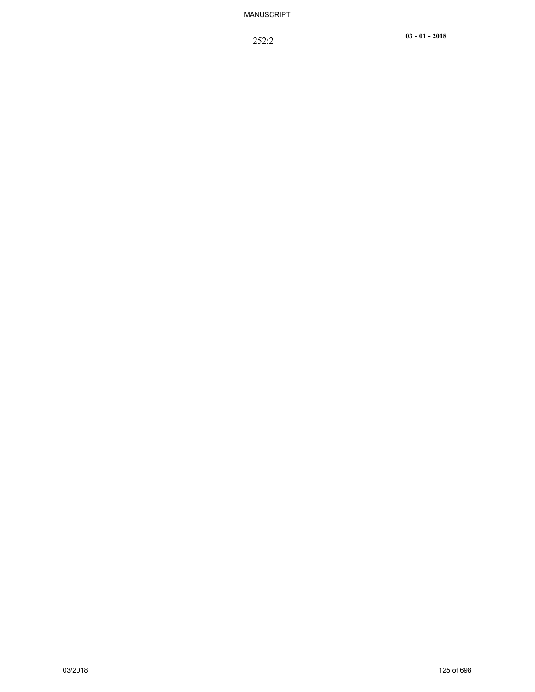252:2 **<sup>03</sup> - <sup>01</sup> - <sup>2018</sup>**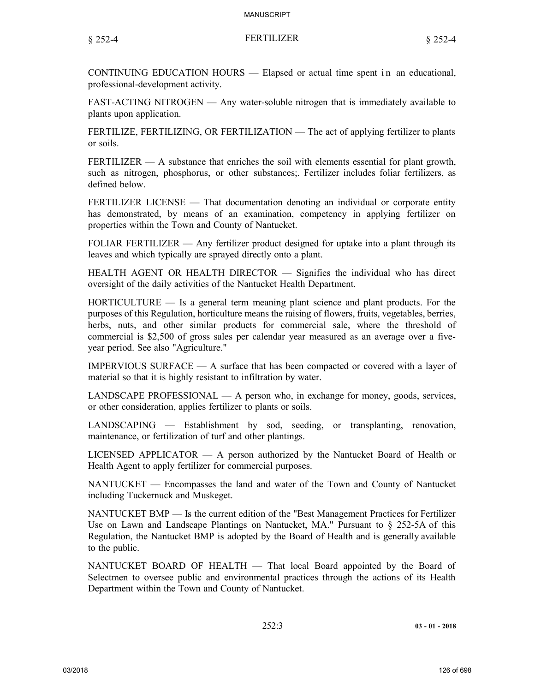CONTINUING EDUCATION HOURS — Elapsed or actual time spent in an educational, professional-development activity.

FAST-ACTING NITROGEN — Any water-soluble nitrogen that is immediately available to plants upon application.

FERTILIZE, FERTILIZING, OR FERTILIZATION — The act of applying fertilizer to plants or soils.

FERTILIZER — A substance that enriches the soil with elements essential for plant growth, such as nitrogen, phosphorus, or other substances;. Fertilizer includes foliar fertilizers, as defined below.

FERTILIZER LICENSE — That documentation denoting an individual or corporate entity has demonstrated, by means of an examination, competency in applying fertilizer on properties within the Town and County of Nantucket.

FOLIAR FERTILIZER — Any fertilizer product designed for uptake into a plant through its leaves and which typically are sprayed directly onto a plant.

HEALTH AGENT OR HEALTH DIRECTOR — Signifies the individual who has direct oversight of the daily activities of the Nantucket Health Department.

HORTICULTURE — Is a general term meaning plant science and plant products. For the purposes of this Regulation, horticulture means the raising of flowers, fruits, vegetables, berries, herbs, nuts, and other similar products for commercial sale, where the threshold of commercial is \$2,500 of gross sales per calendar year measured as an average over a fiveyear period. See also "Agriculture."

IMPERVIOUS SURFACE  $- A$  surface that has been compacted or covered with a layer of material so that it is highly resistant to infiltration by water.

LANDSCAPE PROFESSIONAL — A person who, in exchange for money, goods, services, or other consideration, applies fertilizer to plants or soils.

LANDSCAPING — Establishment by sod, seeding, or transplanting, renovation, maintenance, or fertilization of turf and other plantings.

LICENSED APPLICATOR — A person authorized by the Nantucket Board of Health or Health Agent to apply fertilizer for commercial purposes.

NANTUCKET — Encompasses the land and water of the Town and County of Nantucket including Tuckernuck and Muskeget.

NANTUCKET BMP — Is the current edition of the "Best Management Practices for Fertilizer Use on Lawn and Landscape Plantings on Nantucket, MA." Pursuant to  $\S$  252-5A of this Regulation, the Nantucket BMP is adopted by the Board of Health and is generally available to the public.

NANTUCKET BOARD OF HEALTH — That local Board appointed by the Board of Selectmen to oversee public and environmental practices through the actions of its Health Department within the Town and County of Nantucket.

252:3 **03 - 01 - 2018**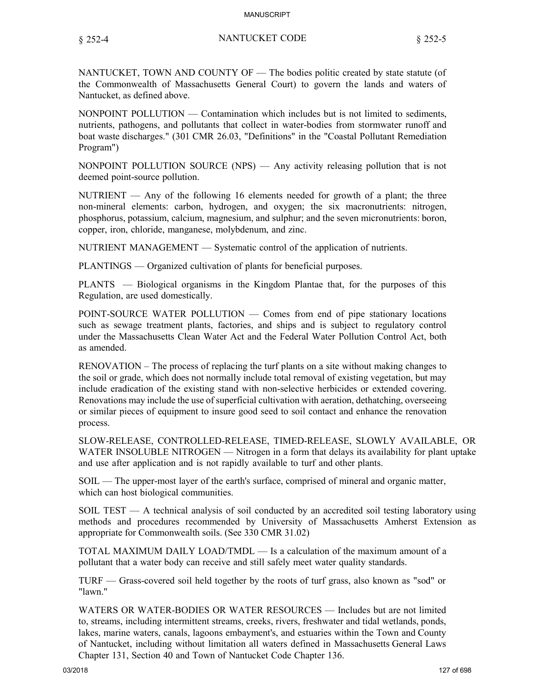#### § 252-4 NANTUCKET CODE § 252-5

NANTUCKET, TOWN AND COUNTY OF — The bodies politic created by state statute (of the Commonwealth of Massachusetts General Court) to govern the lands and waters of Nantucket, as defined above.

NONPOINT POLLUTION — Contamination which includes but is not limited to sediments, nutrients, pathogens, and pollutants that collect in water-bodies from stormwater runoff and boat waste discharges." (301 CMR 26.03, "Definitions" in the "Coastal Pollutant Remediation Program")

NONPOINT POLLUTION SOURCE (NPS) — Any activity releasing pollution that is not deemed point-source pollution.

NUTRIENT — Any of the following 16 elements needed for growth of a plant; the three non-mineral elements: carbon, hydrogen, and oxygen; the six macronutrients: nitrogen, phosphorus, potassium, calcium, magnesium, and sulphur; and the seven micronutrients: boron, copper, iron, chloride, manganese, molybdenum, and zinc.

NUTRIENT MANAGEMENT — Systematic control of the application of nutrients.

PLANTINGS — Organized cultivation of plants for beneficial purposes.

PLANTS — Biological organisms in the Kingdom Plantae that, for the purposes of this Regulation, are used domestically.

POINT-SOURCE WATER POLLUTION — Comes from end of pipe stationary locations such as sewage treatment plants, factories, and ships and is subject to regulatory control under the Massachusetts Clean Water Act and the Federal Water Pollution Control Act, both as amended.

RENOVATION – The process of replacing the turf plants on a site without making changes to the soil or grade, which does not normally include total removal of existing vegetation, but may include eradication of the existing stand with non-selective herbicides or extended covering. Renovations may include the use of superficial cultivation with aeration, dethatching, overseeing or similar pieces of equipment to insure good seed to soil contact and enhance the renovation process.

SLOW-RELEASE, CONTROLLED-RELEASE, TIMED-RELEASE, SLOWLY AVAILABLE, OR WATER INSOLUBLE NITROGEN — Nitrogen in a form that delays its availability for plant uptake and use after application and is not rapidly available to turf and other plants.

SOIL — The upper-most layer of the earth's surface, comprised of mineral and organic matter, which can host biological communities.

SOIL TEST — A technical analysis of soil conducted by an accredited soil testing laboratory using methods and procedures recommended by University of Massachusetts Amherst Extension as appropriate for Commonwealth soils. (See 330 CMR 31.02)

TOTAL MAXIMUM DAILY LOAD/TMDL — Is a calculation of the maximum amount of a pollutant that a water body can receive and still safely meet water quality standards.

TURF — Grass-covered soil held together by the roots of turf grass, also known as "sod" or "lawn."

WATERS OR WATER-BODIES OR WATER RESOURCES — Includes but are not limited to, streams, including intermittent streams, creeks, rivers, freshwater and tidal wetlands, ponds, lakes, marine waters, canals, lagoons embayment's, and estuaries within the Town and County of Nantucket, including without limitation all waters defined in Massachusetts General Laws Chapter 131, Section 40 and Town of Nantucket Code Chapter 136.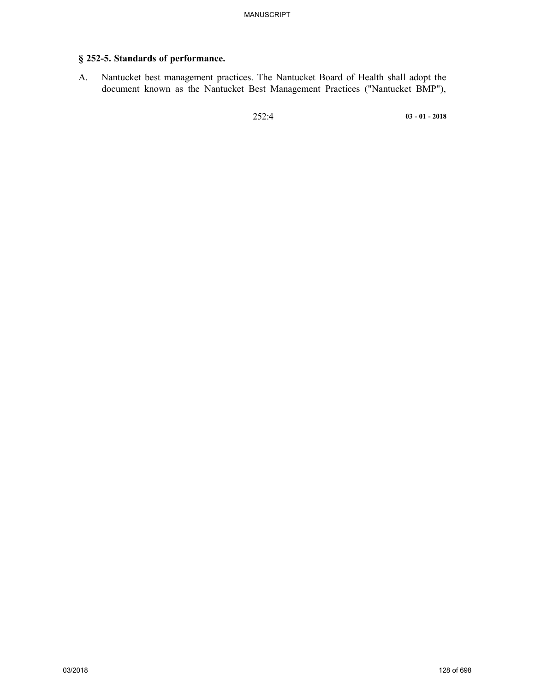# **§ 252-5. Standards of performance.**

A. Nantucket best management practices. The Nantucket Board of Health shall adopt the document known as the Nantucket Best Management Practices ("Nantucket BMP"),

252:4 **03 - 01 - 2018**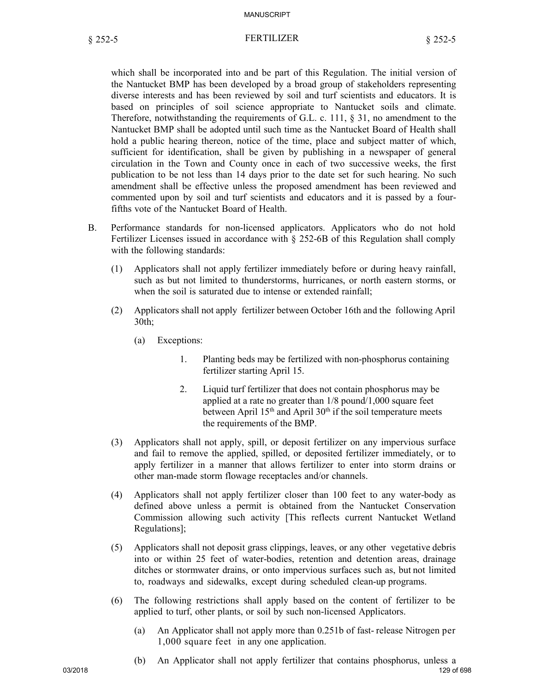#### § 252-5 FERTILIZER § 252-5

which shall be incorporated into and be part of this Regulation. The initial version of the Nantucket BMP has been developed by a broad group of stakeholders representing diverse interests and has been reviewed by soil and turf scientists and educators. It is based on principles of soil science appropriate to Nantucket soils and climate. Therefore, notwithstanding the requirements of G.L. c. 111, § 31, no amendment to the Nantucket BMP shall be adopted until such time as the Nantucket Board of Health shall hold a public hearing thereon, notice of the time, place and subject matter of which, sufficient for identification, shall be given by publishing in a newspaper of general circulation in the Town and County once in each of two successive weeks, the first publication to be not less than 14 days prior to the date set for such hearing. No such amendment shall be effective unless the proposed amendment has been reviewed and commented upon by soil and turf scientists and educators and it is passed by a fourfifths vote of the Nantucket Board of Health.

- B. Performance standards for non-licensed applicators. Applicators who do not hold Fertilizer Licenses issued in accordance with § 252-6B of this Regulation shall comply with the following standards:
	- (1) Applicators shall not apply fertilizer immediately before or during heavy rainfall, such as but not limited to thunderstorms, hurricanes, or north eastern storms, or when the soil is saturated due to intense or extended rainfall;
	- (2) Applicators shall not apply fertilizer between October 16th and the following April 30th;
		- (a) Exceptions:
			- 1. Planting beds may be fertilized with non-phosphorus containing fertilizer starting April 15.
			- 2. Liquid turf fertilizer that does not contain phosphorus may be applied at a rate no greater than 1/8 pound/1,000 square feet between April  $15<sup>th</sup>$  and April  $30<sup>th</sup>$  if the soil temperature meets the requirements of the BMP.
	- (3) Applicators shall not apply, spill, or deposit fertilizer on any impervious surface and fail to remove the applied, spilled, or deposited fertilizer immediately, or to apply fertilizer in a manner that allows fertilizer to enter into storm drains or other man-made storm flowage receptacles and/or channels.
	- (4) Applicators shall not apply fertilizer closer than 100 feet to any water-body as defined above unless a permit is obtained from the Nantucket Conservation Commission allowing such activity [This reflects current Nantucket Wetland Regulations];
	- (5) Applicators shall not deposit grass clippings, leaves, or any other vegetative debris into or within 25 feet of water-bodies, retention and detention areas, drainage ditches or stormwater drains, or onto impervious surfaces such as, but not limited to, roadways and sidewalks, except during scheduled clean-up programs.
	- (6) The following restrictions shall apply based on the content of fertilizer to be applied to turf, other plants, or soil by such non-licensed Applicators.
		- (a) An Applicator shall not apply more than 0.251b of fast- release Nitrogen per 1,000 square feet in any one application.
- 03/2018 129 of 698 (b) An Applicator shall not apply fertilizer that contains phosphorus, unless a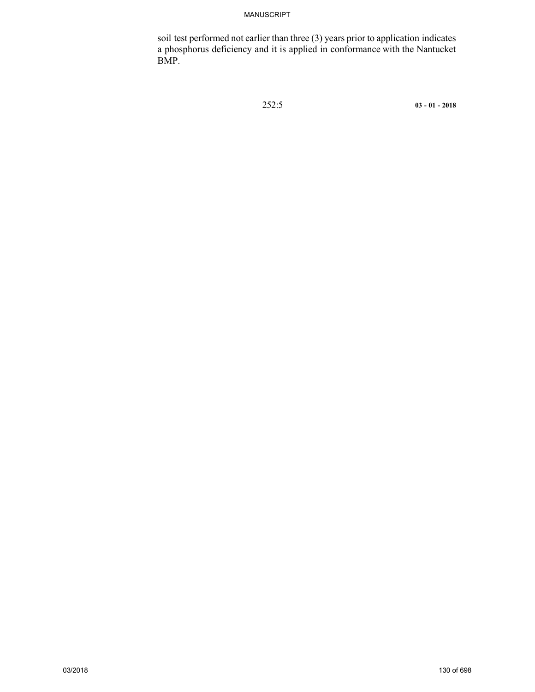soil test performed not earlier than three (3) years prior to application indicates a phosphorus deficiency and it is applied in conformance with the Nantucket BMP.

252:5 **03 - 01 - 2018**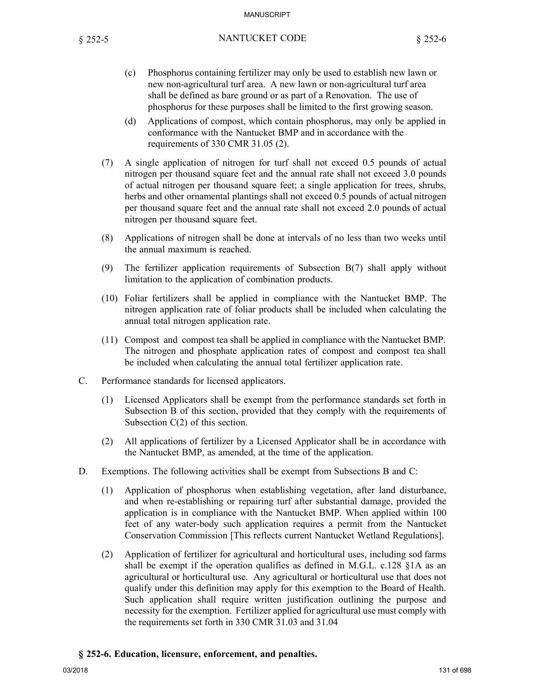- (c) Phosphorus containing fertilizer may only be used to establish new lawn or new non-agricultural turf area. A new lawn or non-agricultural turf area shall be defined as bare ground or as part of a Renovation. The use of phosphorus for these purposes shall be limited to the first growing season.
- (d) Applications of compost, which contain phosphorus, may only be applied in conformance with the Nantucket BMP and in accordance with the requirements of 330 CMR 31.05 (2).
- (7) A single application of nitrogen for turf shall not exceed 0.5 pounds of actual nitrogen per thousand square feet and the annual rate shall not exceed 3.0 pounds of actual nitrogen per thousand square feet; a single application for trees, shrubs, herbs and other ornamental plantings shall not exceed 0.5 pounds of actual nitrogen per thousand square feet and the annual rate shall not exceed 2.0 pounds of actual nitrogen per thousand square feet.
- (8) Applications of nitrogen shall be done at intervals of no less than two weeks until the annual maximum is reached.
- (9) The fertilizer application requirements of Subsection B(7) shall apply without limitation to the application of combination products.
- (10) Foliar fertilizers shall be applied in compliance with the Nantucket BMP. The nitrogen application rate of foliar products shall be included when calculating the annual total nitrogen application rate.
- (11) Compost and compost tea shall be applied in compliance with the Nantucket BMP. The nitrogen and phosphate application rates of compost and compost tea shall be included when calculating the annual total fertilizer application rate.
- C. Performance standards for licensed applicators.
	- (1) Licensed Applicators shall be exempt from the performance standards set forth in Subsection B of this section, provided that they comply with the requirements of Subsection C(2) of this section.
	- (2) All applications of fertilizer by a Licensed Applicator shall be in accordance with the Nantucket BMP, as amended, at the time of the application.
- D. Exemptions. The following activities shall be exempt from Subsections B and C:
	- (1) Application of phosphorus when establishing vegetation, after land disturbance, and when re-establishing or repairing turf after substantial damage, provided the application is in compliance with the Nantucket BMP. When applied within 100 feet of any water-body such application requires a permit from the Nantucket Conservation Commission [This reflects current Nantucket Wetland Regulations].
	- (2) Application of fertilizer for agricultural and horticultural uses, including sod farms shall be exempt if the operation qualifies as defined in M.G.L. c.128 §1A as an agricultural or horticultural use. Any agricultural or horticultural use that does not qualify under this definition may apply for this exemption to the Board of Health. Such application shall require written justification outlining the purpose and necessity for the exemption. Fertilizer applied for agricultural use must comply with the requirements set forth in 330 CMR 31.03 and 31.04

#### **§ 252-6. Education, licensure, enforcement, and penalties.**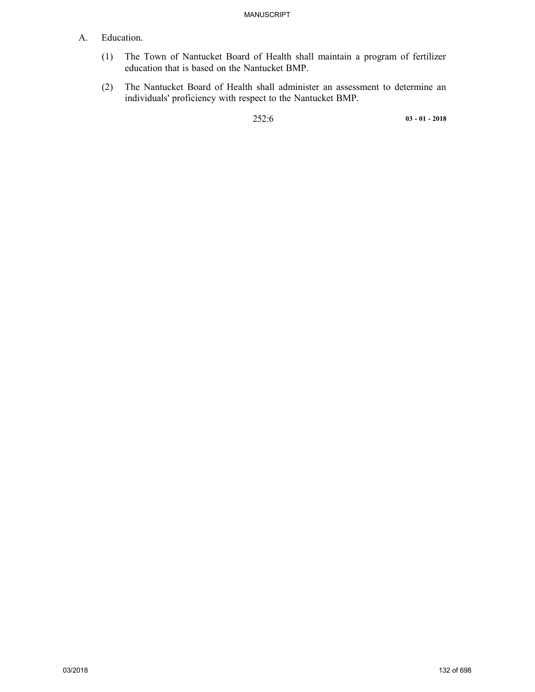## A. Education.

- (1) The Town of Nantucket Board of Health shall maintain a program of fertilizer education that is based on the Nantucket BMP.
- (2) The Nantucket Board of Health shall administer an assessment to determine an individuals' proficiency with respect to the Nantucket BMP.

252:6 **03 - 01 - 2018**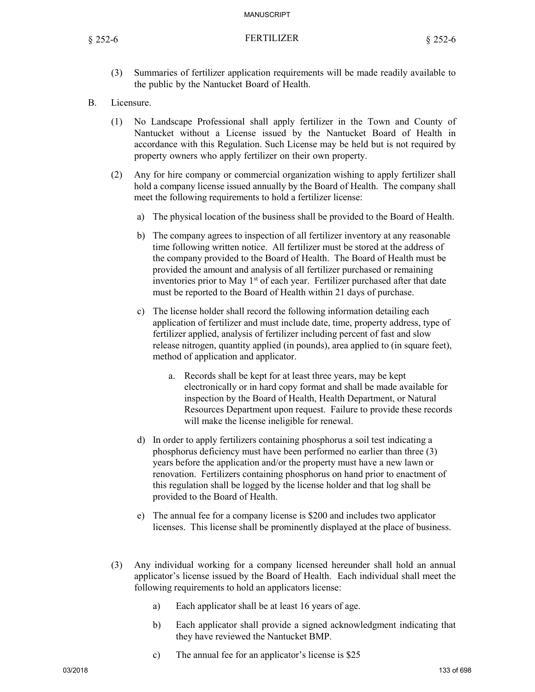- (3) Summaries of fertilizer application requirements will be made readily available to the public by the Nantucket Board of Health.
- B. Licensure.
	- (1) No Landscape Professional shall apply fertilizer in the Town and County of Nantucket without a License issued by the Nantucket Board of Health in accordance with this Regulation. Such License may be held but is not required by property owners who apply fertilizer on their own property.
	- (2) Any for hire company or commercial organization wishing to apply fertilizer shall hold a company license issued annually by the Board of Health. The company shall meet the following requirements to hold a fertilizer license:
		- a) The physical location of the business shall be provided to the Board of Health.
		- b) The company agrees to inspection of all fertilizer inventory at any reasonable time following written notice. All fertilizer must be stored at the address of the company provided to the Board of Health. The Board of Health must be provided the amount and analysis of all fertilizer purchased or remaining inventories prior to May  $1<sup>st</sup>$  of each year. Fertilizer purchased after that date must be reported to the Board of Health within 21 days of purchase.
		- c) The license holder shall record the following information detailing each application of fertilizer and must include date, time, property address, type of fertilizer applied, analysis of fertilizer including percent of fast and slow release nitrogen, quantity applied (in pounds), area applied to (in square feet), method of application and applicator.
			- a. Records shall be kept for at least three years, may be kept electronically or in hard copy format and shall be made available for inspection by the Board of Health, Health Department, or Natural Resources Department upon request. Failure to provide these records will make the license ineligible for renewal.
		- d) In order to apply fertilizers containing phosphorus a soil test indicating a phosphorus deficiency must have been performed no earlier than three (3) years before the application and/or the property must have a new lawn or renovation. Fertilizers containing phosphorus on hand prior to enactment of this regulation shall be logged by the license holder and that log shall be provided to the Board of Health.
		- e) The annual fee for a company license is \$200 and includes two applicator licenses. This license shall be prominently displayed at the place of business.
	- (3) Any individual working for a company licensed hereunder shall hold an annual applicator's license issued by the Board of Health. Each individual shall meet the following requirements to hold an applicators license:
		- a) Each applicator shall be at least 16 years of age.
		- b) Each applicator shall provide a signed acknowledgment indicating that they have reviewed the Nantucket BMP.
		- c) The annual fee for an applicator's license is \$25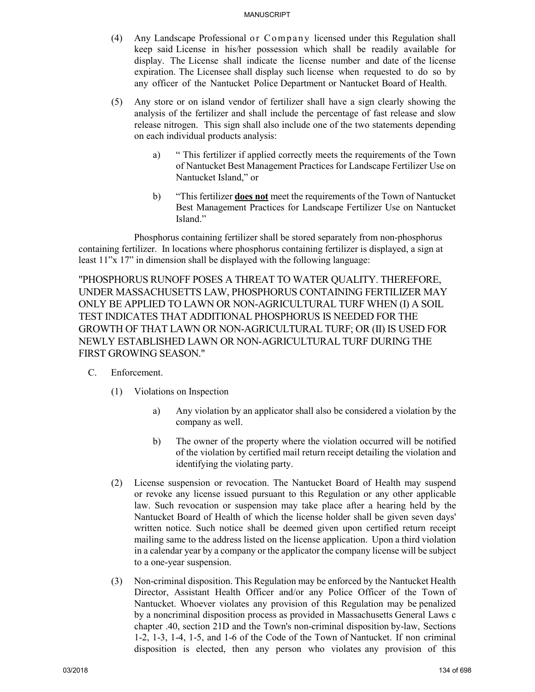- (4) Any Landscape Professional or Company licensed under this Regulation shall keep said License in his/her possession which shall be readily available for display. The License shall indicate the license number and date of the license expiration. The Licensee shall display such license when requested to do so by any officer of the Nantucket Police Department or Nantucket Board of Health.
- (5) Any store or on island vendor of fertilizer shall have a sign clearly showing the analysis of the fertilizer and shall include the percentage of fast release and slow release nitrogen. This sign shall also include one of the two statements depending on each individual products analysis:
	- a) " This fertilizer if applied correctly meets the requirements of the Town of Nantucket Best Management Practices for Landscape Fertilizer Use on Nantucket Island," or
	- b) "This fertilizer **does not** meet the requirements of the Town of Nantucket Best Management Practices for Landscape Fertilizer Use on Nantucket Island."

Phosphorus containing fertilizer shall be stored separately from non-phosphorus containing fertilizer. In locations where phosphorus containing fertilizer is displayed, a sign at least 11"x 17" in dimension shall be displayed with the following language:

"PHOSPHORUS RUNOFF POSES A THREAT TO WATER QUALITY. THEREFORE, UNDER MASSACHUSETTS LAW, PHOSPHORUS CONTAINING FERTILIZER MAY ONLY BE APPLIED TO LAWN OR NON-AGRICULTURAL TURF WHEN (I) A SOIL TEST INDICATES THAT ADDITIONAL PHOSPHORUS IS NEEDED FOR THE GROWTH OF THAT LAWN OR NON-AGRICULTURAL TURF; OR (II) IS USED FOR NEWLY ESTABLISHED LAWN OR NON-AGRICULTURAL TURF DURING THE FIRST GROWING SEASON."

## C. Enforcement.

- (1) Violations on Inspection
	- a) Any violation by an applicator shall also be considered a violation by the company as well.
	- b) The owner of the property where the violation occurred will be notified of the violation by certified mail return receipt detailing the violation and identifying the violating party.
- (2) License suspension or revocation. The Nantucket Board of Health may suspend or revoke any license issued pursuant to this Regulation or any other applicable law. Such revocation or suspension may take place after a hearing held by the Nantucket Board of Health of which the license holder shall be given seven days' written notice. Such notice shall be deemed given upon certified return receipt mailing same to the address listed on the license application. Upon a third violation in a calendar year by a company or the applicator the company license will be subject to a one-year suspension.
- (3) Non-criminal disposition. This Regulation may be enforced by the Nantucket Health Director, Assistant Health Officer and/or any Police Officer of the Town of Nantucket. Whoever violates any provision of this Regulation may be penalized by a noncriminal disposition process as provided in Massachusetts General Laws c chapter .40, section 21D and the Town's non-criminal disposition by-law, Sections 1-2, 1-3, 1-4, 1-5, and 1-6 of the Code of the Town of Nantucket. If non criminal disposition is elected, then any person who violates any provision of this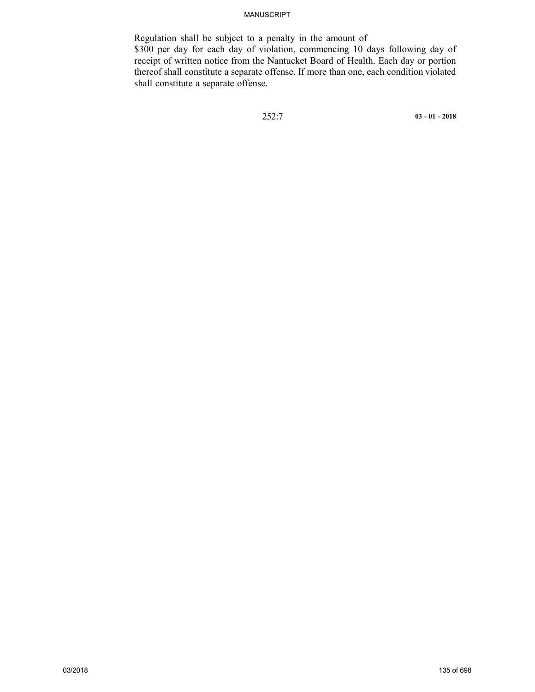Regulation shall be subject to a penalty in the amount of \$300 per day for each day of violation, commencing 10 days following day of receipt of written notice from the Nantucket Board of Health. Each day or portion thereof shall constitute a separate offense. If more than one, each condition violated shall constitute a separate offense.

252:7 **03 - 01 - 2018**